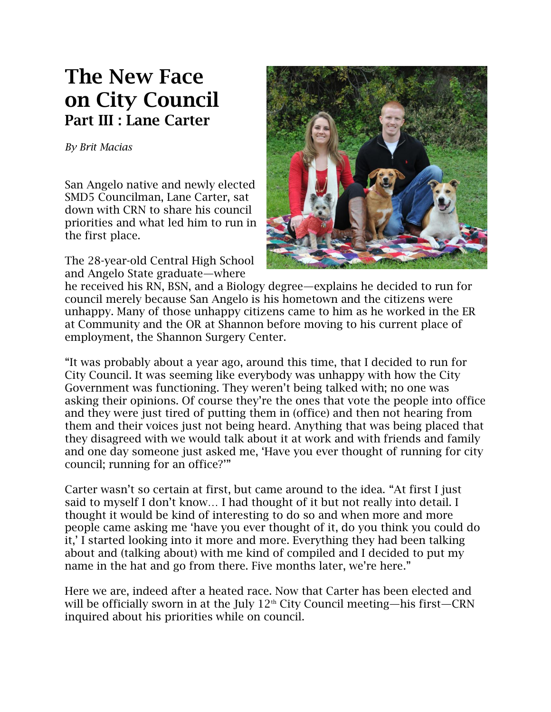## **The New Face on City Council Part III : Lane Carter**

*By Brit Macias*

San Angelo native and newly elected SMD5 Councilman, Lane Carter, sat down with CRN to share his council priorities and what led him to run in the first place.

The 28-year-old Central High School and Angelo State graduate—where



he received his RN, BSN, and a Biology degree—explains he decided to run for council merely because San Angelo is his hometown and the citizens were unhappy. Many of those unhappy citizens came to him as he worked in the ER at Community and the OR at Shannon before moving to his current place of employment, the Shannon Surgery Center.

"It was probably about a year ago, around this time, that I decided to run for City Council. It was seeming like everybody was unhappy with how the City Government was functioning. They weren't being talked with; no one was asking their opinions. Of course they're the ones that vote the people into office and they were just tired of putting them in (office) and then not hearing from them and their voices just not being heard. Anything that was being placed that they disagreed with we would talk about it at work and with friends and family and one day someone just asked me, 'Have you ever thought of running for city council; running for an office?'"

Carter wasn't so certain at first, but came around to the idea. "At first I just said to myself I don't know… I had thought of it but not really into detail. I thought it would be kind of interesting to do so and when more and more people came asking me 'have you ever thought of it, do you think you could do it,' I started looking into it more and more. Everything they had been talking about and (talking about) with me kind of compiled and I decided to put my name in the hat and go from there. Five months later, we're here."

Here we are, indeed after a heated race. Now that Carter has been elected and will be officially sworn in at the July  $12<sup>th</sup>$  City Council meeting—his first—CRN inquired about his priorities while on council.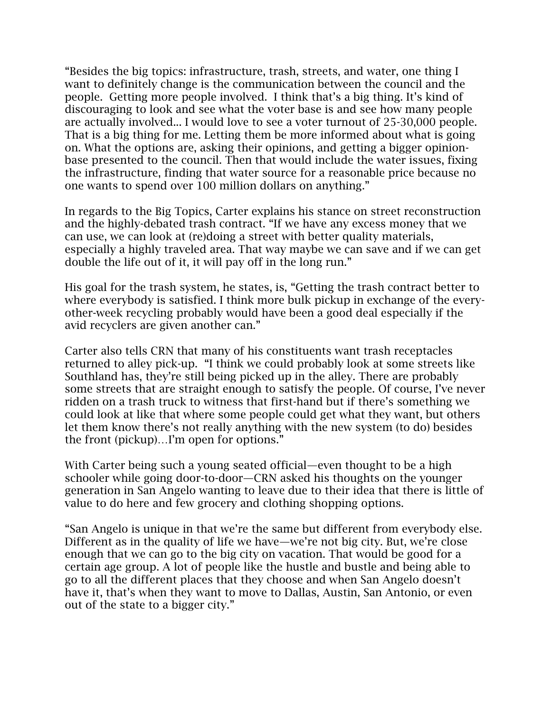"Besides the big topics: infrastructure, trash, streets, and water, one thing I want to definitely change is the communication between the council and the people. Getting more people involved. I think that's a big thing. It's kind of discouraging to look and see what the voter base is and see how many people are actually involved... I would love to see a voter turnout of 25-30,000 people. That is a big thing for me. Letting them be more informed about what is going on. What the options are, asking their opinions, and getting a bigger opinionbase presented to the council. Then that would include the water issues, fixing the infrastructure, finding that water source for a reasonable price because no one wants to spend over 100 million dollars on anything."

In regards to the Big Topics, Carter explains his stance on street reconstruction and the highly-debated trash contract. "If we have any excess money that we can use, we can look at (re)doing a street with better quality materials, especially a highly traveled area. That way maybe we can save and if we can get double the life out of it, it will pay off in the long run."

His goal for the trash system, he states, is, "Getting the trash contract better to where everybody is satisfied. I think more bulk pickup in exchange of the everyother-week recycling probably would have been a good deal especially if the avid recyclers are given another can."

Carter also tells CRN that many of his constituents want trash receptacles returned to alley pick-up. "I think we could probably look at some streets like Southland has, they're still being picked up in the alley. There are probably some streets that are straight enough to satisfy the people. Of course, I've never ridden on a trash truck to witness that first-hand but if there's something we could look at like that where some people could get what they want, but others let them know there's not really anything with the new system (to do) besides the front (pickup)…I'm open for options."

With Carter being such a young seated official—even thought to be a high schooler while going door-to-door—CRN asked his thoughts on the younger generation in San Angelo wanting to leave due to their idea that there is little of value to do here and few grocery and clothing shopping options.

"San Angelo is unique in that we're the same but different from everybody else. Different as in the quality of life we have—we're not big city. But, we're close enough that we can go to the big city on vacation. That would be good for a certain age group. A lot of people like the hustle and bustle and being able to go to all the different places that they choose and when San Angelo doesn't have it, that's when they want to move to Dallas, Austin, San Antonio, or even out of the state to a bigger city."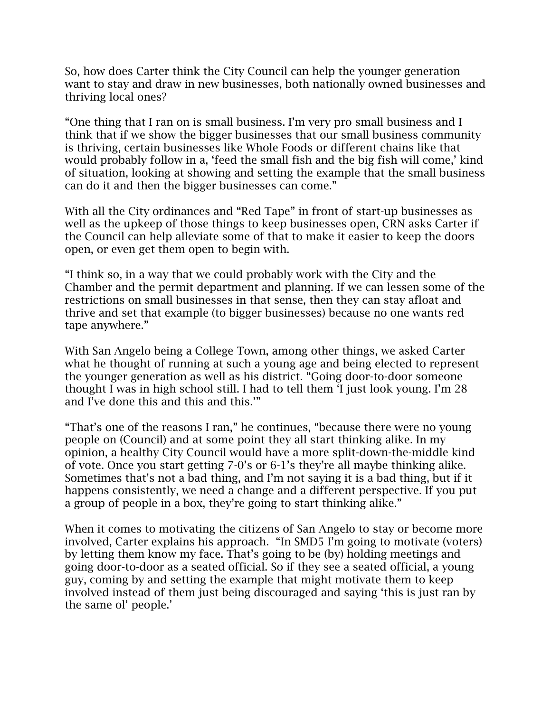So, how does Carter think the City Council can help the younger generation want to stay and draw in new businesses, both nationally owned businesses and thriving local ones?

"One thing that I ran on is small business. I'm very pro small business and I think that if we show the bigger businesses that our small business community is thriving, certain businesses like Whole Foods or different chains like that would probably follow in a, 'feed the small fish and the big fish will come,' kind of situation, looking at showing and setting the example that the small business can do it and then the bigger businesses can come."

With all the City ordinances and "Red Tape" in front of start-up businesses as well as the upkeep of those things to keep businesses open, CRN asks Carter if the Council can help alleviate some of that to make it easier to keep the doors open, or even get them open to begin with.

"I think so, in a way that we could probably work with the City and the Chamber and the permit department and planning. If we can lessen some of the restrictions on small businesses in that sense, then they can stay afloat and thrive and set that example (to bigger businesses) because no one wants red tape anywhere."

With San Angelo being a College Town, among other things, we asked Carter what he thought of running at such a young age and being elected to represent the younger generation as well as his district. "Going door-to-door someone thought I was in high school still. I had to tell them 'I just look young. I'm 28 and I've done this and this and this.'"

"That's one of the reasons I ran," he continues, "because there were no young people on (Council) and at some point they all start thinking alike. In my opinion, a healthy City Council would have a more split-down-the-middle kind of vote. Once you start getting 7-0's or 6-1's they're all maybe thinking alike. Sometimes that's not a bad thing, and I'm not saying it is a bad thing, but if it happens consistently, we need a change and a different perspective. If you put a group of people in a box, they're going to start thinking alike."

When it comes to motivating the citizens of San Angelo to stay or become more involved, Carter explains his approach. "In SMD5 I'm going to motivate (voters) by letting them know my face. That's going to be (by) holding meetings and going door-to-door as a seated official. So if they see a seated official, a young guy, coming by and setting the example that might motivate them to keep involved instead of them just being discouraged and saying 'this is just ran by the same ol' people.'